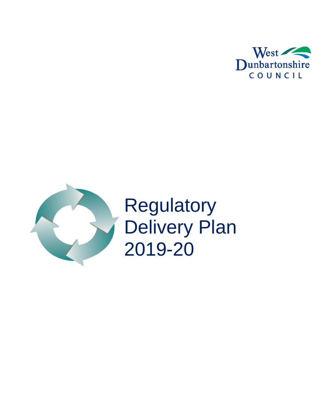



**Regulatory** Delivery Plan 2019-20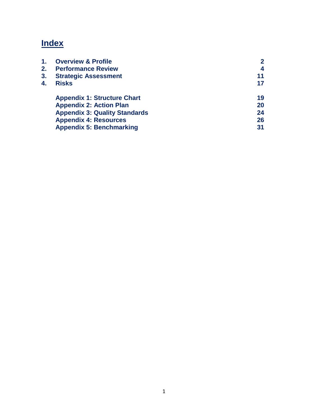# **Index**

<span id="page-1-0"></span>

| 1. | <b>Overview &amp; Profile</b>        |    |
|----|--------------------------------------|----|
| 2. | <b>Performance Review</b>            | 4  |
| 3. | <b>Strategic Assessment</b>          | 11 |
| 4. | <b>Risks</b>                         | 17 |
|    | <b>Appendix 1: Structure Chart</b>   | 19 |
|    | <b>Appendix 2: Action Plan</b>       | 20 |
|    | <b>Appendix 3: Quality Standards</b> | 24 |
|    | <b>Appendix 4: Resources</b>         | 26 |
|    | <b>Appendix 5: Benchmarking</b>      | 31 |
|    |                                      |    |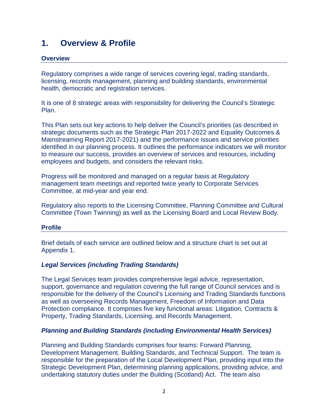## **1. Overview & Profile**

### **Overview**

Regulatory comprises a wide range of services covering legal, trading standards, licensing, records management, planning and building standards, environmental health, democratic and registration services.

It is one of 8 strategic areas with responsibility for delivering the Council's Strategic Plan.

This Plan sets out key actions to help deliver the Council's priorities (as described in strategic documents such as the Strategic Plan 2017-2022 and Equality Outcomes & Mainstreaming Report 2017-2021) and the performance issues and service priorities identified in our planning process. It outlines the performance indicators we will monitor to measure our success, provides an overview of services and resources, including employees and budgets, and considers the relevant risks.

Progress will be monitored and managed on a regular basis at Regulatory management team meetings and reported twice yearly to Corporate Services Committee, at mid-year and year end.

Regulatory also reports to the Licensing Committee, Planning Committee and Cultural Committee (Town Twinning) as well as the Licensing Board and Local Review Body.

#### **Profile**

Brief details of each service are outlined below and a structure chart is set out at Appendix 1.

#### *Legal Services (including Trading Standards)*

The Legal Services team provides comprehensive legal advice, representation, support, governance and regulation covering the full range of Council services and is responsible for the delivery of the Council's Licensing and Trading Standards functions as well as overseeing Records Management, Freedom of Information and Data Protection compliance. It comprises five key functional areas: Litigation, Contracts & Property, Trading Standards, Licensing, and Records Management.

#### *Planning and Building Standards (including Environmental Health Services)*

Planning and Building Standards comprises four teams: Forward Planning, Development Management, Building Standards, and Technical Support. The team is responsible for the preparation of the Local Development Plan, providing input into the Strategic Development Plan, determining planning applications, providing advice, and undertaking statutory duties under the Building (Scotland) Act. The team also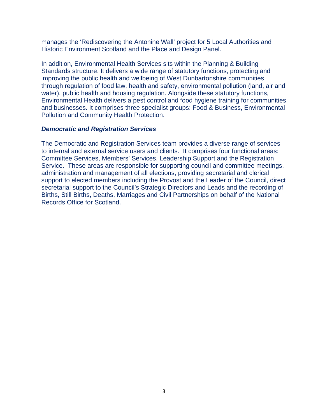manages the 'Rediscovering the Antonine Wall' project for 5 Local Authorities and Historic Environment Scotland and the Place and Design Panel.

In addition, Environmental Health Services sits within the Planning & Building Standards structure. It delivers a wide range of statutory functions, protecting and improving the public health and wellbeing of West Dunbartonshire communities through regulation of food law, health and safety, environmental pollution (land, air and water), public health and housing regulation. Alongside these statutory functions, Environmental Health delivers a pest control and food hygiene training for communities and businesses. It comprises three specialist groups: Food & Business, Environmental Pollution and Community Health Protection.

#### *Democratic and Registration Services*

<span id="page-3-0"></span>The Democratic and Registration Services team provides a diverse range of services to internal and external service users and clients. It comprises four functional areas: Committee Services, Members' Services, Leadership Support and the Registration Service. These areas are responsible for supporting council and committee meetings, administration and management of all elections, providing secretarial and clerical support to elected members including the Provost and the Leader of the Council, direct secretarial support to the Council's Strategic Directors and Leads and the recording of Births, Still Births, Deaths, Marriages and Civil Partnerships on behalf of the National Records Office for Scotland.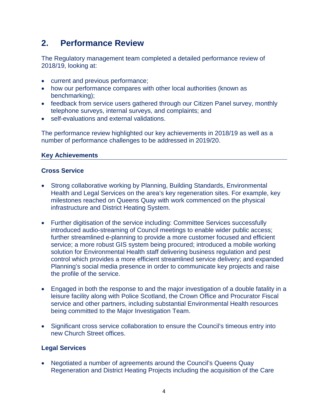## **2. Performance Review**

The Regulatory management team completed a detailed performance review of 2018/19, looking at:

- current and previous performance;
- how our performance compares with other local authorities (known as benchmarking);
- feedback from service users gathered through our Citizen Panel survey, monthly telephone surveys, internal surveys, and complaints; and
- self-evaluations and external validations.

The performance review highlighted our key achievements in 2018/19 as well as a number of performance challenges to be addressed in 2019/20.

### **Key Achievements**

### **Cross Service**

- Strong collaborative working by Planning, Building Standards, Environmental Health and Legal Services on the area's key regeneration sites. For example, key milestones reached on Queens Quay with work commenced on the physical infrastructure and District Heating System.
- Further digitisation of the service including: Committee Services successfully introduced audio-streaming of Council meetings to enable wider public access; further streamlined e-planning to provide a more customer focused and efficient service; a more robust GIS system being procured; introduced a mobile working solution for Environmental Health staff delivering business regulation and pest control which provides a more efficient streamlined service delivery; and expanded Planning's social media presence in order to communicate key projects and raise the profile of the service.
- Engaged in both the response to and the major investigation of a double fatality in a leisure facility along with Police Scotland, the Crown Office and Procurator Fiscal service and other partners, including substantial Environmental Health resources being committed to the Major Investigation Team.
- Significant cross service collaboration to ensure the Council's timeous entry into new Church Street offices.

## **Legal Services**

• Negotiated a number of agreements around the Council's Queens Quay Regeneration and District Heating Projects including the acquisition of the Care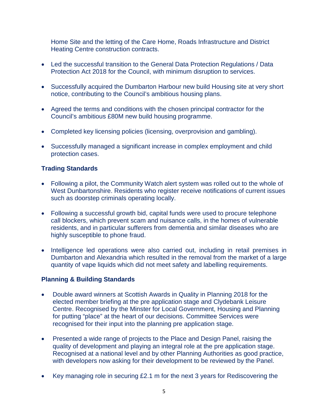Home Site and the letting of the Care Home, Roads Infrastructure and District Heating Centre construction contracts.

- Led the successful transition to the General Data Protection Regulations / Data Protection Act 2018 for the Council, with minimum disruption to services.
- Successfully acquired the Dumbarton Harbour new build Housing site at very short notice, contributing to the Council's ambitious housing plans.
- Agreed the terms and conditions with the chosen principal contractor for the Council's ambitious £80M new build housing programme.
- Completed key licensing policies (licensing, overprovision and gambling).
- Successfully managed a significant increase in complex employment and child protection cases.

### **Trading Standards**

- Following a pilot, the Community Watch alert system was rolled out to the whole of West Dunbartonshire. Residents who register receive notifications of current issues such as doorstep criminals operating locally.
- Following a successful growth bid, capital funds were used to procure telephone call blockers, which prevent scam and nuisance calls, in the homes of vulnerable residents, and in particular sufferers from dementia and similar diseases who are highly susceptible to phone fraud.
- Intelligence led operations were also carried out, including in retail premises in Dumbarton and Alexandria which resulted in the removal from the market of a large quantity of vape liquids which did not meet safety and labelling requirements.

#### **Planning & Building Standards**

- Double award winners at Scottish Awards in Quality in Planning 2018 for the elected member briefing at the pre application stage and Clydebank Leisure Centre. Recognised by the Minster for Local Government, Housing and Planning for putting "place" at the heart of our decisions. Committee Services were recognised for their input into the planning pre application stage.
- Presented a wide range of projects to the Place and Design Panel, raising the quality of development and playing an integral role at the pre application stage. Recognised at a national level and by other Planning Authorities as good practice, with developers now asking for their development to be reviewed by the Panel.
- Key managing role in securing £2.1 m for the next 3 years for Rediscovering the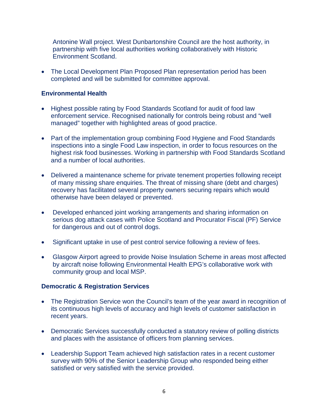Antonine Wall project. West Dunbartonshire Council are the host authority, in partnership with five local authorities working collaboratively with Historic Environment Scotland.

• The Local Development Plan Proposed Plan representation period has been completed and will be submitted for committee approval.

#### **Environmental Health**

- Highest possible rating by Food Standards Scotland for audit of food law enforcement service. Recognised nationally for controls being robust and "well managed" together with highlighted areas of good practice.
- Part of the implementation group combining Food Hygiene and Food Standards inspections into a single Food Law inspection, in order to focus resources on the highest risk food businesses. Working in partnership with Food Standards Scotland and a number of local authorities.
- Delivered a maintenance scheme for private tenement properties following receipt of many missing share enquiries. The threat of missing share (debt and charges) recovery has facilitated several property owners securing repairs which would otherwise have been delayed or prevented.
- Developed enhanced joint working arrangements and sharing information on serious dog attack cases with Police Scotland and Procurator Fiscal (PF) Service for dangerous and out of control dogs.
- Significant uptake in use of pest control service following a review of fees.
- Glasgow Airport agreed to provide Noise Insulation Scheme in areas most affected by aircraft noise following Environmental Health EPG's collaborative work with community group and local MSP.

#### **Democratic & Registration Services**

- The Registration Service won the Council's team of the year award in recognition of its continuous high levels of accuracy and high levels of customer satisfaction in recent years.
- Democratic Services successfully conducted a statutory review of polling districts and places with the assistance of officers from planning services.
- Leadership Support Team achieved high satisfaction rates in a recent customer survey with 90% of the Senior Leadership Group who responded being either satisfied or very satisfied with the service provided.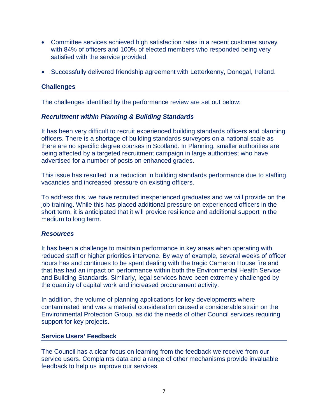- Committee services achieved high satisfaction rates in a recent customer survey with 84% of officers and 100% of elected members who responded being very satisfied with the service provided.
- Successfully delivered friendship agreement with Letterkenny, Donegal, Ireland.

#### **Challenges**

The challenges identified by the performance review are set out below:

#### *Recruitment within Planning & Building Standards*

It has been very difficult to recruit experienced building standards officers and planning officers. There is a shortage of building standards surveyors on a national scale as there are no specific degree courses in Scotland. In Planning, smaller authorities are being affected by a targeted recruitment campaign in large authorities; who have advertised for a number of posts on enhanced grades.

This issue has resulted in a reduction in building standards performance due to staffing vacancies and increased pressure on existing officers.

To address this, we have recruited inexperienced graduates and we will provide on the job training. While this has placed additional pressure on experienced officers in the short term, it is anticipated that it will provide resilience and additional support in the medium to long term.

#### *Resources*

It has been a challenge to maintain performance in key areas when operating with reduced staff or higher priorities intervene. By way of example, several weeks of officer hours has and continues to be spent dealing with the tragic Cameron House fire and that has had an impact on performance within both the Environmental Health Service and Building Standards. Similarly, legal services have been extremely challenged by the quantity of capital work and increased procurement activity.

In addition, the volume of planning applications for key developments where contaminated land was a material consideration caused a considerable strain on the Environmental Protection Group, as did the needs of other Council services requiring support for key projects.

#### **Service Users' Feedback**

The Council has a clear focus on learning from the feedback we receive from our service users. Complaints data and a range of other mechanisms provide invaluable feedback to help us improve our services.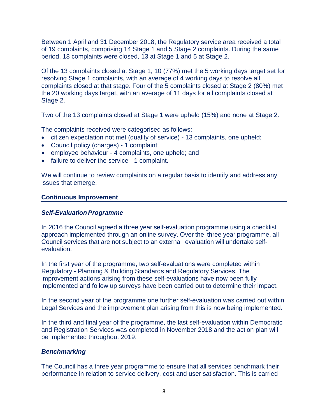Between 1 April and 31 December 2018, the Regulatory service area received a total of 19 complaints, comprising 14 Stage 1 and 5 Stage 2 complaints. During the same period, 18 complaints were closed, 13 at Stage 1 and 5 at Stage 2.

Of the 13 complaints closed at Stage 1, 10 (77%) met the 5 working days target set for resolving Stage 1 complaints, with an average of 4 working days to resolve all complaints closed at that stage. Four of the 5 complaints closed at Stage 2 (80%) met the 20 working days target, with an average of 11 days for all complaints closed at Stage 2.

Two of the 13 complaints closed at Stage 1 were upheld (15%) and none at Stage 2.

The complaints received were categorised as follows:

- citizen expectation not met (quality of service) 13 complaints, one upheld;
- Council policy (charges) 1 complaint;
- employee behaviour 4 complaints, one upheld; and
- failure to deliver the service 1 complaint.

We will continue to review complaints on a regular basis to identify and address any issues that emerge.

#### **Continuous Improvement**

#### **Self-Evaluation Programme**

In 2016 the Council agreed a three year self-evaluation programme using a checklist approach implemented through an online survey. Over the three year programme, all Council services that are not subject to an external evaluation will undertake selfevaluation.

In the first year of the programme, two self-evaluations were completed within Regulatory - Planning & Building Standards and Regulatory Services. The improvement actions arising from these self-evaluations have now been fully implemented and follow up surveys have been carried out to determine their impact.

In the second year of the programme one further self-evaluation was carried out within Legal Services and the improvement plan arising from this is now being implemented.

In the third and final year of the programme, the last self-evaluation within Democratic and Registration Services was completed in November 2018 and the action plan will be implemented throughout 2019.

#### *Benchmarking*

The Council has a three year programme to ensure that all services benchmark their performance in relation to service delivery, cost and user satisfaction. This is carried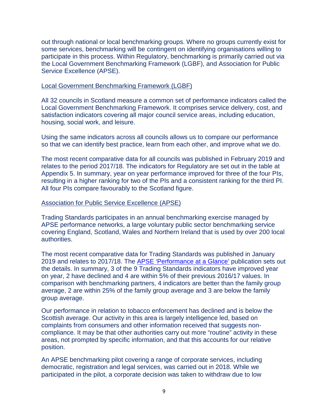out through national or local benchmarking groups. Where no groups currently exist for some services, benchmarking will be contingent on identifying organisations willing to participate in this process. Within Regulatory, benchmarking is primarily carried out via the Local Government Benchmarking Framework (LGBF), and Association for Public Service Excellence (APSE).

#### Local Government Benchmarking Framework (LGBF)

All 32 councils in Scotland measure a common set of performance indicators called the Local Government Benchmarking Framework. It comprises service delivery, cost, and satisfaction indicators covering all major council service areas, including education, housing, social work, and leisure.

Using the same indicators across all councils allows us to compare our performance so that we can identify best practice, learn from each other, and improve what we do.

The most recent comparative data for all councils was published in February 2019 and relates to the period 2017/18. The indicators for Regulatory are set out in the table at Appendix 5. In summary, year on year performance improved for three of the four PIs, resulting in a higher ranking for two of the PIs and a consistent ranking for the third PI. All four PIs compare favourably to the Scotland figure.

#### Association for Public Service Excellence (APSE)

Trading Standards participates in an annual benchmarking exercise managed by APSE performance networks, a large voluntary public sector benchmarking service covering England, Scotland, Wales and Northern Ireland that is used by over 200 local authorities.

The most recent comparative data for Trading Standards was published in January 2019 and relates to 2017/18. The [APSE 'Performance at a Glance'](http://www.west-dunbarton.gov.uk/media/4317141/trading-standards-apse-17-18-wdc.pdf) publication sets out the details. In summary, 3 of the 9 Trading Standards indicators have improved year on year, 2 have declined and 4 are within 5% of their previous 2016/17 values. In comparison with benchmarking partners, 4 indicators are better than the family group average, 2 are within 25% of the family group average and 3 are below the family group average.

Our performance in relation to tobacco enforcement has declined and is below the Scottish average. Our activity in this area is largely intelligence led, based on complaints from consumers and other information received that suggests noncompliance. It may be that other authorities carry out more "routine" activity in these areas, not prompted by specific information, and that this accounts for our relative position.

An APSE benchmarking pilot covering a range of corporate services, including democratic, registration and legal services, was carried out in 2018. While we participated in the pilot, a corporate decision was taken to withdraw due to low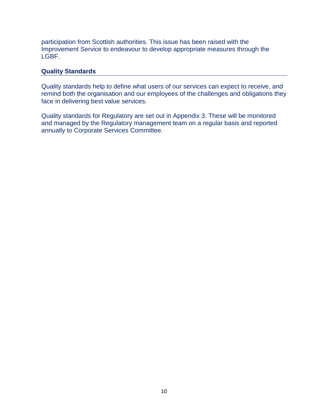participation from Scottish authorities. This issue has been raised with the Improvement Service to endeavour to develop appropriate measures through the LGBF.

#### **Quality Standards**

Quality standards help to define what users of our services can expect to receive, and remind both the organisation and our employees of the challenges and obligations they face in delivering best value services.

Quality standards for Regulatory are set out in Appendix 3. These will be monitored and managed by the Regulatory management team on a regular basis and reported annually to Corporate Services Committee.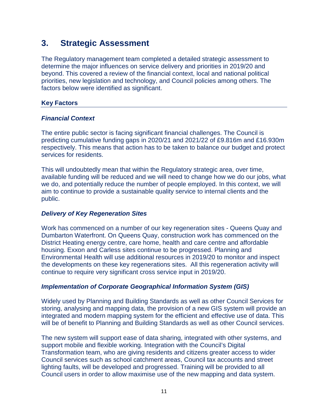## **3. Strategic Assessment**

The Regulatory management team completed a detailed strategic assessment to determine the major influences on service delivery and priorities in 2019/20 and beyond. This covered a review of the financial context, local and national political priorities, new legislation and technology, and Council policies among others. The factors below were identified as significant.

### **Key Factors**

#### *Financial Context*

The entire public sector is facing significant financial challenges. The Council is predicting cumulative funding gaps in 2020/21 and 2021/22 of £9.816m and £16.930m respectively. This means that action has to be taken to balance our budget and protect services for residents.

This will undoubtedly mean that within the Regulatory strategic area, over time, available funding will be reduced and we will need to change how we do our jobs, what we do, and potentially reduce the number of people employed. In this context, we will aim to continue to provide a sustainable quality service to internal clients and the public.

#### *Delivery of Key Regeneration Sites*

Work has commenced on a number of our key regeneration sites - Queens Quay and Dumbarton Waterfront. On Queens Quay, construction work has commenced on the District Heating energy centre, care home, health and care centre and affordable housing. Exxon and Carless sites continue to be progressed. Planning and Environmental Health will use additional resources in 2019/20 to monitor and inspect the developments on these key regenerations sites. All this regeneration activity will continue to require very significant cross service input in 2019/20.

## *Implementation of Corporate Geographical Information System (GIS)*

Widely used by Planning and Building Standards as well as other Council Services for storing, analysing and mapping data, the provision of a new GIS system will provide an integrated and modern mapping system for the efficient and effective use of data. This will be of benefit to Planning and Building Standards as well as other Council services.

The new system will support ease of data sharing, integrated with other systems, and support mobile and flexible working. Integration with the Council's Digital Transformation team, who are giving residents and citizens greater access to wider Council services such as school catchment areas, Council tax accounts and street lighting faults, will be developed and progressed. Training will be provided to all Council users in order to allow maximise use of the new mapping and data system.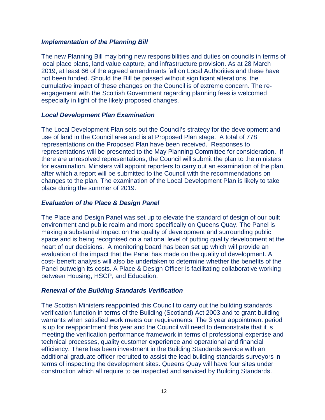#### *Implementation of the Planning Bill*

The new Planning Bill may bring new responsibilities and duties on councils in terms of local place plans, land value capture, and infrastructure provision. As at 28 March 2019, at least 66 of the agreed amendments fall on Local Authorities and these have not been funded. Should the Bill be passed without significant alterations, the cumulative impact of these changes on the Council is of extreme concern. The reengagement with the Scottish Government regarding planning fees is welcomed especially in light of the likely proposed changes.

#### *Local Development Plan Examination*

The Local Development Plan sets out the Council's strategy for the development and use of land in the Council area and is at Proposed Plan stage. A total of 778 representations on the Proposed Plan have been received. Responses to representations will be presented to the May Planning Committee for consideration. If there are unresolved representations, the Council will submit the plan to the ministers for examination. Minsters will appoint reporters to carry out an examination of the plan, after which a report will be submitted to the Council with the recommendations on changes to the plan. The examination of the Local Development Plan is likely to take place during the summer of 2019.

#### *Evaluation of the Place & Design Panel*

The Place and Design Panel was set up to elevate the standard of design of our built environment and public realm and more specifically on Queens Quay. The Panel is making a substantial impact on the quality of development and surrounding public space and is being recognised on a national level of putting quality development at the heart of our decisions. A monitoring board has been set up which will provide an evaluation of the impact that the Panel has made on the quality of development. A cost- benefit analysis will also be undertaken to determine whether the benefits of the Panel outweigh its costs. A Place & Design Officer is facilitating collaborative working between Housing, HSCP, and Education.

#### *Renewal of the Building Standards Verification*

The Scottish Ministers reappointed this Council to carry out the building standards verification function in terms of the Building (Scotland) Act 2003 and to grant building warrants when satisfied work meets our requirements. The 3 year appointment period is up for reappointment this year and the Council will need to demonstrate that it is meeting the verification performance framework in terms of professional expertise and technical processes, quality customer experience and operational and financial efficiency. There has been investment in the Building Standards service with an additional graduate officer recruited to assist the lead building standards surveyors in terms of inspecting the development sites. Queens Quay will have four sites under construction which all require to be inspected and serviced by Building Standards.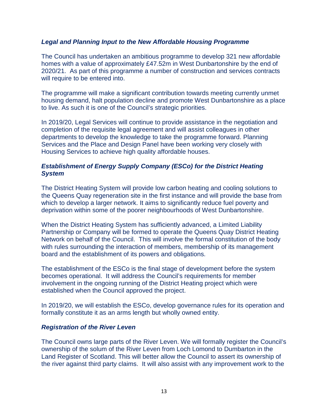#### *Legal and Planning Input to the New Affordable Housing Programme*

The Council has undertaken an ambitious programme to develop 321 new affordable homes with a value of approximately £47.52m in West Dunbartonshire by the end of 2020/21. As part of this programme a number of construction and services contracts will require to be entered into.

The programme will make a significant contribution towards meeting currently unmet housing demand, halt population decline and promote West Dunbartonshire as a place to live. As such it is one of the Council's strategic priorities.

In 2019/20, Legal Services will continue to provide assistance in the negotiation and completion of the requisite legal agreement and will assist colleagues in other departments to develop the knowledge to take the programme forward. Planning Services and the Place and Design Panel have been working very closely with Housing Services to achieve high quality affordable houses.

#### *Establishment of Energy Supply Company (ESCo) for the District Heating System*

The District Heating System will provide low carbon heating and cooling solutions to the Queens Quay regeneration site in the first instance and will provide the base from which to develop a larger network. It aims to significantly reduce fuel poverty and deprivation within some of the poorer neighbourhoods of West Dunbartonshire.

When the District Heating System has sufficiently advanced, a Limited Liability Partnership or Company will be formed to operate the Queens Quay District Heating Network on behalf of the Council. This will involve the formal constitution of the body with rules surrounding the interaction of members, membership of its management board and the establishment of its powers and obligations.

The establishment of the ESCo is the final stage of development before the system becomes operational. It will address the Council's requirements for member involvement in the ongoing running of the District Heating project which were established when the Council approved the project.

In 2019/20, we will establish the ESCo, develop governance rules for its operation and formally constitute it as an arms length but wholly owned entity.

#### *Registration of the River Leven*

The Council owns large parts of the River Leven. We will formally register the Council's ownership of the solum of the River Leven from Loch Lomond to Dumbarton in the Land Register of Scotland. This will better allow the Council to assert its ownership of the river against third party claims. It will also assist with any improvement work to the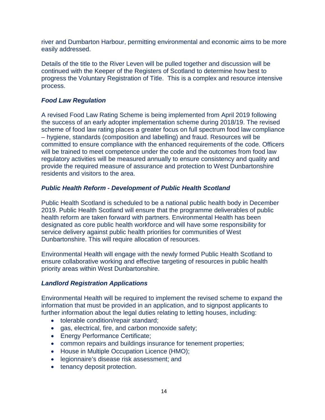river and Dumbarton Harbour, permitting environmental and economic aims to be more easily addressed.

Details of the title to the River Leven will be pulled together and discussion will be continued with the Keeper of the Registers of Scotland to determine how best to progress the Voluntary Registration of Title. This is a complex and resource intensive process.

### *Food Law Regulation*

A revised Food Law Rating Scheme is being implemented from April 2019 following the success of an early adopter implementation scheme during 2018/19. The revised scheme of food law rating places a greater focus on full spectrum food law compliance – hygiene, standards (composition and labelling) and fraud. Resources will be committed to ensure compliance with the enhanced requirements of the code. Officers will be trained to meet competence under the code and the outcomes from food law regulatory activities will be measured annually to ensure consistency and quality and provide the required measure of assurance and protection to West Dunbartonshire residents and visitors to the area.

#### *Public Health Reform - Development of Public Health Scotland*

Public Health Scotland is scheduled to be a national public health body in December 2019. Public Health Scotland will ensure that the programme deliverables of public health reform are taken forward with partners. Environmental Health has been designated as core public health workforce and will have some responsibility for service delivery against public health priorities for communities of West Dunbartonshire. This will require allocation of resources.

Environmental Health will engage with the newly formed Public Health Scotland to ensure collaborative working and effective targeting of resources in public health priority areas within West Dunbartonshire.

#### *Landlord Registration Applications*

Environmental Health will be required to implement the revised scheme to expand the information that must be provided in an application, and to signpost applicants to further information about the legal duties relating to letting houses, including:

- tolerable condition/repair standard;
- gas, electrical, fire, and carbon monoxide safety;
- Energy Performance Certificate;
- common repairs and buildings insurance for tenement properties;
- House in Multiple Occupation Licence (HMO);
- legionnaire's disease risk assessment; and
- tenancy deposit protection.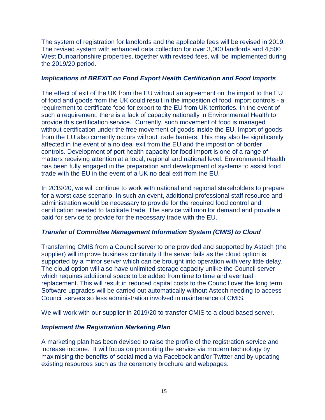The system of registration for landlords and the applicable fees will be revised in 2019. The revised system with enhanced data collection for over 3,000 landlords and 4,500 West Dunbartonshire properties, together with revised fees, will be implemented during the 2019/20 period.

#### *Implications of BREXIT on Food Export Health Certification and Food Imports*

The effect of exit of the UK from the EU without an agreement on the import to the EU of food and goods from the UK could result in the imposition of food import controls - a requirement to certificate food for export to the EU from UK territories. In the event of such a requirement, there is a lack of capacity nationally in Environmental Health to provide this certification service. Currently, such movement of food is managed without certification under the free movement of goods inside the EU. Import of goods from the EU also currently occurs without trade barriers. This may also be significantly affected in the event of a no deal exit from the EU and the imposition of border controls. Development of port health capacity for food import is one of a range of matters receiving attention at a local, regional and national level. Environmental Health has been fully engaged in the preparation and development of systems to assist food trade with the EU in the event of a UK no deal exit from the EU.

In 2019/20, we will continue to work with national and regional stakeholders to prepare for a worst case scenario. In such an event, additional professional staff resource and administration would be necessary to provide for the required food control and certification needed to facilitate trade. The service will monitor demand and provide a paid for service to provide for the necessary trade with the EU.

#### *Transfer of Committee Management Information System (CMIS) to Cloud*

Transferring CMIS from a Council server to one provided and supported by Astech (the supplier) will improve business continuity if the server fails as the cloud option is supported by a mirror server which can be brought into operation with very little delay. The cloud option will also have unlimited storage capacity unlike the Council server which requires additional space to be added from time to time and eventual replacement. This will result in reduced capital costs to the Council over the long term. Software upgrades will be carried out automatically without Astech needing to access Council servers so less administration involved in maintenance of CMIS.

We will work with our supplier in 2019/20 to transfer CMIS to a cloud based server.

#### *Implement the Registration Marketing Plan*

A marketing plan has been devised to raise the profile of the registration service and increase income. It will focus on promoting the service via modern technology by maximising the benefits of social media via Facebook and/or Twitter and by updating existing resources such as the ceremony brochure and webpages.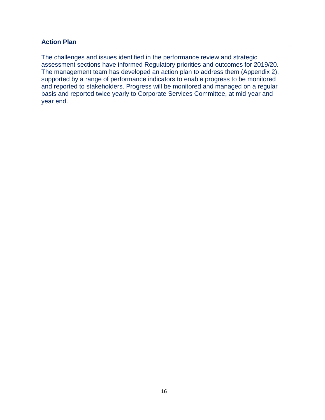#### **Action Plan**

The challenges and issues identified in the performance review and strategic assessment sections have informed Regulatory priorities and outcomes for 2019/20. The management team has developed an action plan to address them (Appendix 2), supported by a range of performance indicators to enable progress to be monitored and reported to stakeholders. Progress will be monitored and managed on a regular basis and reported twice yearly to Corporate Services Committee, at mid-year and year end.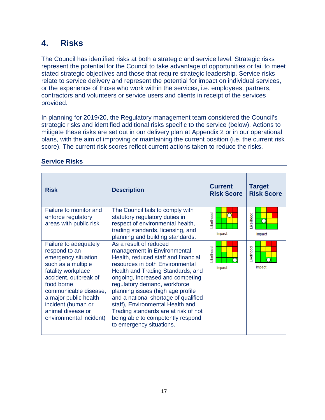## **4. Risks**

The Council has identified risks at both a strategic and service level. Strategic risks represent the potential for the Council to take advantage of opportunities or fail to meet stated strategic objectives and those that require strategic leadership. Service risks relate to service delivery and represent the potential for impact on individual services, or the experience of those who work within the services, i.e. employees, partners, contractors and volunteers or service users and clients in receipt of the services provided.

In planning for 2019/20, the Regulatory management team considered the Council's strategic risks and identified additional risks specific to the service (below). Actions to mitigate these risks are set out in our delivery plan at Appendix 2 or in our operational plans, with the aim of improving or maintaining the current position (i.e. the current risk score). The current risk scores reflect current actions taken to reduce the risks.

| <b>Risk</b>                                                                                                                                                                                                                                                              | <b>Description</b>                                                                                                                                                                                                                                                                                                                                                                                                                                                 | <b>Current</b><br><b>Risk Score</b> | <b>Target</b><br><b>Risk Score</b> |
|--------------------------------------------------------------------------------------------------------------------------------------------------------------------------------------------------------------------------------------------------------------------------|--------------------------------------------------------------------------------------------------------------------------------------------------------------------------------------------------------------------------------------------------------------------------------------------------------------------------------------------------------------------------------------------------------------------------------------------------------------------|-------------------------------------|------------------------------------|
| Failure to monitor and<br>enforce regulatory<br>areas with public risk                                                                                                                                                                                                   | The Council fails to comply with<br>statutory regulatory duties in<br>respect of environmental health,<br>trading standards, licensing, and<br>planning and building standards.                                                                                                                                                                                                                                                                                    | .ikelihood<br>Impact                | .ikelihood<br>n<br>Impact          |
| Failure to adequately<br>respond to an<br>emergency situation<br>such as a multiple<br>fatality workplace<br>accident, outbreak of<br>food borne<br>communicable disease,<br>a major public health<br>incident (human or<br>animal disease or<br>environmental incident) | As a result of reduced<br>management in Environmental<br>Health, reduced staff and financial<br>resources in both Environmental<br>Health and Trading Standards, and<br>ongoing, increased and competing<br>regulatory demand, workforce<br>planning issues (high age profile<br>and a national shortage of qualified<br>staff), Environmental Health and<br>Trading standards are at risk of not<br>being able to competently respond<br>to emergency situations. | .ikelihood<br>Impact                | <b>ikelihood</b><br>Impact         |

### **Service Risks**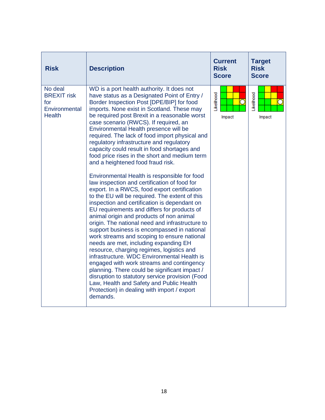| <b>Risk</b>                                                            | <b>Description</b>                                                                                                                                                                                                                                                                                                                                                                                                                                                                                                                                                                                                                                                                                                                                                                                                                                                                                                                                                                                                                                                                                                                                                                                                                                                                                                                                                                                                                                     | <b>Current</b><br><b>Risk</b><br><b>Score</b> | <b>Target</b><br><b>Risk</b><br><b>Score</b> |
|------------------------------------------------------------------------|--------------------------------------------------------------------------------------------------------------------------------------------------------------------------------------------------------------------------------------------------------------------------------------------------------------------------------------------------------------------------------------------------------------------------------------------------------------------------------------------------------------------------------------------------------------------------------------------------------------------------------------------------------------------------------------------------------------------------------------------------------------------------------------------------------------------------------------------------------------------------------------------------------------------------------------------------------------------------------------------------------------------------------------------------------------------------------------------------------------------------------------------------------------------------------------------------------------------------------------------------------------------------------------------------------------------------------------------------------------------------------------------------------------------------------------------------------|-----------------------------------------------|----------------------------------------------|
| No deal<br><b>BREXIT risk</b><br>for<br>Environmental<br><b>Health</b> | WD is a port health authority. It does not<br>have status as a Designated Point of Entry /<br>Border Inspection Post [DPE/BIP] for food<br>imports. None exist in Scotland. These may<br>be required post Brexit in a reasonable worst<br>case scenario (RWCS). If required, an<br>Environmental Health presence will be<br>required. The lack of food import physical and<br>regulatory infrastructure and regulatory<br>capacity could result in food shortages and<br>food price rises in the short and medium term<br>and a heightened food fraud risk.<br>Environmental Health is responsible for food<br>law inspection and certification of food for<br>export. In a RWCS, food export certification<br>to the EU will be required. The extent of this<br>inspection and certification is dependant on<br>EU requirements and differs for products of<br>animal origin and products of non animal<br>origin. The national need and infrastructure to<br>support business is encompassed in national<br>work streams and scoping to ensure national<br>needs are met, including expanding EH<br>resource, charging regimes, logistics and<br>infrastructure. WDC Environmental Health is<br>engaged with work streams and contingency<br>planning. There could be significant impact /<br>disruption to statutory service provision (Food<br>Law, Health and Safety and Public Health<br>Protection) in dealing with import / export<br>demands. | <b>ikelihood</b><br>Impact                    | Likelihood<br>Impact                         |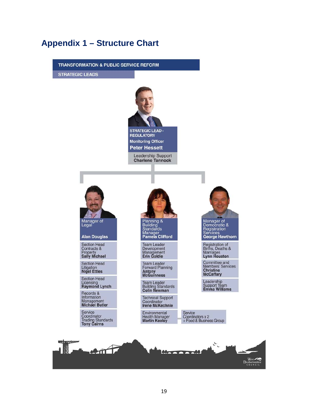## **Appendix 1 – Structure Chart**

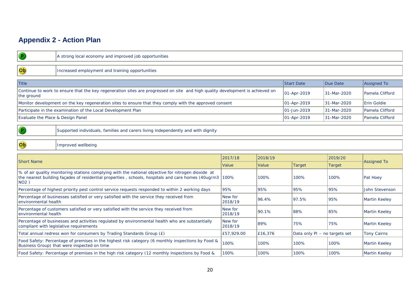## **Appendix 2 - Action Plan**

| $\mathbf{P}$                                                                                                                               | A strong local economy and improved job opportunities                                                                                                                                                    |                    |         |                               |               |                    |  |  |
|--------------------------------------------------------------------------------------------------------------------------------------------|----------------------------------------------------------------------------------------------------------------------------------------------------------------------------------------------------------|--------------------|---------|-------------------------------|---------------|--------------------|--|--|
| Ob                                                                                                                                         | Increased employment and training opportunities                                                                                                                                                          |                    |         |                               |               |                    |  |  |
| <b>Title</b>                                                                                                                               |                                                                                                                                                                                                          |                    |         | <b>Start Date</b>             | Due Date      | <b>Assigned To</b> |  |  |
| the ground                                                                                                                                 | Continue to work to ensure that the key regeneration sites are progressed on site and high quality development is achieved on                                                                            |                    |         | 01-Apr-2019                   | 31-Mar-2020   | Pamela Clifford    |  |  |
|                                                                                                                                            | Monitor development on the key regeneration sites to ensure that they comply with the approved consent                                                                                                   |                    |         | 01-Apr-2019                   | 31-Mar-2020   | <b>Erin Goldie</b> |  |  |
|                                                                                                                                            | Participate in the examination of the Local Development Plan                                                                                                                                             |                    |         | 01-Jun-2019                   | 31-Mar-2020   | Pamela Clifford    |  |  |
| Evaluate the Place & Design Panel                                                                                                          |                                                                                                                                                                                                          |                    |         | 01-Apr-2019                   | 31-Mar-2020   | Pamela Clifford    |  |  |
| $\left( \mathbf{P}\right)$                                                                                                                 | Supported individuals, families and carers living independently and with dignity                                                                                                                         |                    |         |                               |               |                    |  |  |
| $\overline{\text{Ob}}$                                                                                                                     | Improved wellbeing                                                                                                                                                                                       |                    |         |                               |               |                    |  |  |
|                                                                                                                                            |                                                                                                                                                                                                          | 2017/18            | 2018/19 |                               | 2019/20       | <b>Assigned To</b> |  |  |
| <b>Short Name</b>                                                                                                                          |                                                                                                                                                                                                          | Value              | Value   | <b>Target</b>                 | <b>Target</b> |                    |  |  |
| NO2)                                                                                                                                       | % of air quality monitoring stations complying with the national objective for nitrogen dioxide at<br>the nearest building facades of residential properties, schools, hospitals and care homes (40ug/m3 | 100%               | 100%    | 100%                          | 100%          | <b>Pat Hoey</b>    |  |  |
|                                                                                                                                            | Percentage of highest priority pest control service requests responded to within 2 working days                                                                                                          | 95%                | 95%     | 95%                           | 95%           | John Stevenson     |  |  |
| environmental health                                                                                                                       | Percentage of businesses satisfied or very satisfied with the service they received from                                                                                                                 | New for<br>2018/19 | 96.4%   | 97.5%                         | 95%           | Martin Keeley      |  |  |
| environmental health                                                                                                                       | Percentage of customers satisfied or very satisfied with the service they received from                                                                                                                  | New for<br>2018/19 | 90.1%   | 88%                           | 85%           | Martin Keeley      |  |  |
| Percentage of businesses and activities regulated by environmental health who are substantially<br>compliant with legislative requirements |                                                                                                                                                                                                          | New for<br>2018/19 | 89%     | 75%                           | 75%           | Martin Keeley      |  |  |
| Total annual redress won for consumers by Trading Standards Group (£)                                                                      |                                                                                                                                                                                                          | £57,929.00         | £16,376 | Data only PI - no targets set |               | <b>Tony Cairns</b> |  |  |
|                                                                                                                                            | Food Safety: Percentage of premises in the highest risk category (6 monthly inspections by Food &<br>Business Group) that were inspected on time                                                         | 100%               | 100%    | 100%                          | 100%          | Martin Keeley      |  |  |
|                                                                                                                                            | Food Safety: Percentage of premises in the high risk category (12 monthly inspections by Food &                                                                                                          | 100%               | 100%    | 100%                          | 100%          | Martin Keeley      |  |  |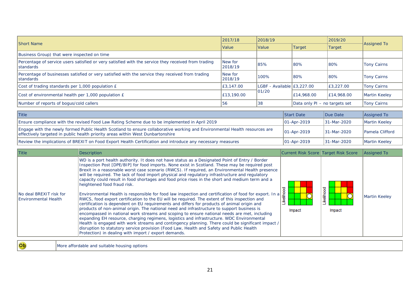| <b>Short Name</b>                                                                                                        | 2017/18            | 2018/19                    |                               | 2019/20       | <b>Assigned To</b> |
|--------------------------------------------------------------------------------------------------------------------------|--------------------|----------------------------|-------------------------------|---------------|--------------------|
|                                                                                                                          | <b>Value</b>       | <b>Value</b>               | Target                        | <b>Target</b> |                    |
| Business Group) that were inspected on time                                                                              |                    |                            |                               |               |                    |
| Percentage of service users satisfied or very satisfied with the service they received from trading<br><b>Istandards</b> | New for<br>2018/19 | 185%                       | 80%                           | l80%          | Tony Cairns        |
| Percentage of businesses satisfied or very satisfied with the service they received from trading<br><b>Istandards</b>    | New for<br>2018/19 | 100%                       | 80%                           | l80%          | <b>Tony Cairns</b> |
| Cost of trading standards per 1,000 population £                                                                         | E3.147.00          | LGBF - Available E3.227.00 |                               | E3.227.00     | <b>Tony Cairns</b> |
| Cost of environmental health per 1,000 population £                                                                      | E13,190.00         | 101/20                     | E14,968.00                    | E14,968.00    | Martin Keeley      |
| Number of reports of bogus/cold callers                                                                                  | 56                 | 38                         | Data only PI - no targets set |               | <b>Tony Cairns</b> |

| <b>Title</b>                                                                                                                                                                                                  | <b>Start Date</b>   | Due Date     | Assigned To             |
|---------------------------------------------------------------------------------------------------------------------------------------------------------------------------------------------------------------|---------------------|--------------|-------------------------|
| Ensure compliance with the revised Food Law Rating Scheme due to be implemented in April 2019                                                                                                                 | $ 01 - Apr - 2019 $ | 131-Mar-2020 | Martin Keeley           |
| Engage with the newly formed Public Health Scotland to ensure collaborative working and Environmental Health resources are<br>effectively targeted in public health priority areas within West Dunbartonshire | 01-Apr-2019         | 131-Mar-2020 | <b>IPamela Clifford</b> |
| Review the implications of BREXIT on Food Export Health Certification and introduce any necessary measures                                                                                                    | $ 01 - Apr - 2019 $ | 131-Mar-2020 | Martin Keeley           |

| <b>Title</b>                                             | <b>Description</b>                                                                                                                                                                                                                                                                                                                                                                                                                                                                                                                                                                                                                                                                                                                                                                                                                                                                                                                                                                                                                                                                                                                                                                                                                                                                                                                                                                                      | Current Risk Score Target Risk Score |                   | Assigned To   |
|----------------------------------------------------------|---------------------------------------------------------------------------------------------------------------------------------------------------------------------------------------------------------------------------------------------------------------------------------------------------------------------------------------------------------------------------------------------------------------------------------------------------------------------------------------------------------------------------------------------------------------------------------------------------------------------------------------------------------------------------------------------------------------------------------------------------------------------------------------------------------------------------------------------------------------------------------------------------------------------------------------------------------------------------------------------------------------------------------------------------------------------------------------------------------------------------------------------------------------------------------------------------------------------------------------------------------------------------------------------------------------------------------------------------------------------------------------------------------|--------------------------------------|-------------------|---------------|
| INo deal BREXIT risk for<br><b>IEnvironmental Health</b> | WD is a port health authority. It does not have status as a Designated Point of Entry / Border<br>Inspection Post [DPE/BIP] for food imports. None exist in Scotland. These may be required post<br>Brexit in a reasonable worst case scenario (RWCS). If required, an Environmental Health presence<br>will be required. The lack of food import physical and regulatory infrastructure and regulatory<br>capacity could result in food shortages and food price rises in the short and medium term and a<br>heightened food fraud risk.<br>Environmental Health is responsible for food law inspection and certification of food for export. In a<br>RWCS, food export certification to the EU will be required. The extent of this inspection and<br>certification is dependent on EU requirements and differs for products of animal origin and<br>products of non-animal origin. The national need and infrastructure to support business is<br>encompassed in national work streams and scoping to ensure national needs are met, including<br>expanding EH resource, charging regimens, logistics and infrastructure. WDC Environmental<br>Health is engaged with work streams and contingency planning. There could be significant impact /<br>disruption to statutory service provision (Food Law, Health and Safety and Public Health<br>Protection) in dealing with import / export demands. | 흨<br>Impact                          | elihood<br>Impact | Martin Keeley |
|                                                          |                                                                                                                                                                                                                                                                                                                                                                                                                                                                                                                                                                                                                                                                                                                                                                                                                                                                                                                                                                                                                                                                                                                                                                                                                                                                                                                                                                                                         |                                      |                   |               |

Ob More affordable and suitable housing options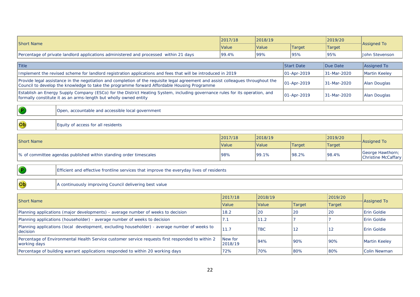| <b>Short Name</b>                                                                     | 2017/18 | 2018/19      |        | 2019/20 |                    |
|---------------------------------------------------------------------------------------|---------|--------------|--------|---------|--------------------|
|                                                                                       | l Value | <b>Value</b> | Target | Target  | <b>Assigned To</b> |
| Percentage of private landlord applications administered and processed within 21 days | 199.4%  | 99%          | 195%   | 195%    | John Stevenson     |

| <b>Title</b>                                                                                                                                                                                                                    | <b>Start Date</b>   | Due Date    | Assigned To   |
|---------------------------------------------------------------------------------------------------------------------------------------------------------------------------------------------------------------------------------|---------------------|-------------|---------------|
| Implement the revised scheme for landlord registration applications and fees that will be introduced in 2019                                                                                                                    | $ 01 - Apr - 2019 $ | 31-Mar-2020 | Martin Keeley |
| Provide legal assistance in the negotiation and completion of the requisite legal agreement and assist colleagues throughout the<br>Council to develop the knowledge to take the programme forward Affordable Housing Programme | $ 01 - Apr - 2019 $ | 31-Mar-2020 | Alan Douglas  |
| Establish an Energy Supply Company (ESCo) for the District Heating System, including governance rules for its operation, and<br>formally constitute it as an arms-length but wholly owned entity                                | $ 01 - Apr - 2019 $ | 31-Mar-2020 | Alan Douglas  |

 $\bullet$ 

Ob

 $\overline{\mathbf{P}}$ 

Ob

Open, accountable and accessible local government

Equity of access for all residents

| <b>Short Name</b>                                                  | 2017/18 | 2018/19      |               | 2019/20 |                                         |  |
|--------------------------------------------------------------------|---------|--------------|---------------|---------|-----------------------------------------|--|
|                                                                    | Value   | <b>Value</b> | <b>Target</b> | Target  | Assianed To                             |  |
| Ⅰ% of committee agendas published within standing order timescales | '98%    | 199.1%       | 98.2%         | 98.4%   | George Hawthorn;<br>Christine McCaffary |  |

Efficient and effective frontline services that improve the everyday lives of residents

A continuously improving Council delivering best value

| <b>Short Name</b>                                                                                                 | 2017/18             | 2018/19      |               | 2019/20 |                      |
|-------------------------------------------------------------------------------------------------------------------|---------------------|--------------|---------------|---------|----------------------|
|                                                                                                                   | <i><b>Value</b></i> | <b>Value</b> | <b>Target</b> | Target  | <b>Assigned To</b>   |
| Planning applications (major developments) - average number of weeks to decision                                  | 18.2                | 20           | <b>20</b>     | 20      | <b>Erin Goldie</b>   |
| Planning applications (householder) - average number of weeks to decision                                         | $\sqrt{1}$ .        | 11.2         |               |         | <b>Erin Goldie</b>   |
| Planning applications (local development, excluding householder) - average number of weeks to<br><b>Idecision</b> | 11.7                | <b>TBC</b>   | -12           | 12      | <b>IErin Goldie</b>  |
| Percentage of Environmental Health Service customer service requests first responded to within 2<br>working days  | New for<br>2018/19  | 194%         | 90%           | 90%     | Martin Keeley        |
| Percentage of building warrant applications responded to within 20 working days                                   | 72%                 | 70%          | 80%           | l80%    | <b>IColin Newman</b> |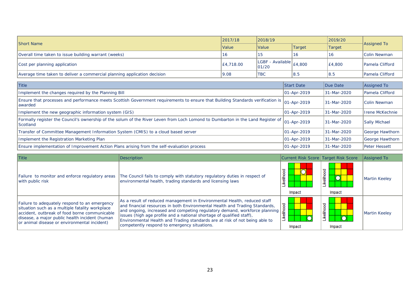| <b>Short Name</b>                                                        | 2017/18   | 2018/19                                                                                                                    |        | 2019/20 | Assigned To             |  |
|--------------------------------------------------------------------------|-----------|----------------------------------------------------------------------------------------------------------------------------|--------|---------|-------------------------|--|
| <i><b>Value</b></i>                                                      |           | Value                                                                                                                      | Target | Target  |                         |  |
| Overall time taken to issue building warrant (weeks)                     | 16        |                                                                                                                            | 16     | ιc      | <b>Colin Newman</b>     |  |
| Cost per planning application                                            | £4,718.00 | LGBF - Available $\left  \begin{smallmatrix} 2.4 & 0 & 0 \\ 0.4 & 0.0 & 0 \\ 0 & 0 & 0 \end{smallmatrix} \right $<br>01/20 |        | E4.800  | <b>IPamela Clifford</b> |  |
| Average time taken to deliver a commercial planning application decision | 9.08      | <b>TBC</b>                                                                                                                 | 8.5    | 18.5    | <b>IPamela Clifford</b> |  |

| <b>Title</b>                                                                                                                                           | <b>Start Date</b>   | Due Date     | <b>Assigned To</b>     |
|--------------------------------------------------------------------------------------------------------------------------------------------------------|---------------------|--------------|------------------------|
| Implement the changes required by the Planning Bill                                                                                                    | $ 01 - Apr - 2019 $ | 131-Mar-2020 | Pamela Clifford        |
| Ensure that processes and performance meets Scottish Government requirements to ensure that Building Standards verification is 01-Apr-2019<br>lawarded |                     | 131-Mar-2020 | Colin Newman           |
| Implement the new geographic information system (GIS)                                                                                                  | $ 01 - Apr - 2019 $ | 131-Mar-2020 | <b>Irene McKechnie</b> |
| Formally register the Council's ownership of the solum of the River Leven from Loch Lomond to Dumbarton in the Land Register of<br><b>Scotland</b>     | 01-Apr-2019         | 131-Mar-2020 | Sally Michael          |
| Transfer of Committee Management Information System (CMIS) to a cloud based server                                                                     | $ 01 - Apr - 2019 $ | 131-Mar-2020 | George Hawthorn        |
| Implement the Registration Marketing Plan                                                                                                              | $ 01 - Apr - 2019 $ | 131-Mar-2020 | George Hawthorn        |
| Ensure implementation of Improvement Action Plans arising from the self-evaluation process                                                             | $ 01 - Apr - 2019 $ | 131-Mar-2020 | <b>I</b> Peter Hessett |

| <b>Title</b>                                                                                                                                                                                                                                        | <b>Description</b>                                                                                                                                                                                                                                                                                                                                                                                                                            | Current Risk Score Target Risk Score |                         | <b>Assigned To</b> |
|-----------------------------------------------------------------------------------------------------------------------------------------------------------------------------------------------------------------------------------------------------|-----------------------------------------------------------------------------------------------------------------------------------------------------------------------------------------------------------------------------------------------------------------------------------------------------------------------------------------------------------------------------------------------------------------------------------------------|--------------------------------------|-------------------------|--------------------|
| Failure to monitor and enforce regulatory areas<br>with public risk                                                                                                                                                                                 | The Council fails to comply with statutory regulatory duties in respect of<br>environmental health, trading standards and licensing laws                                                                                                                                                                                                                                                                                                      | elihood<br>≝<br>Impact               | ह<br>흩<br>≚<br>Impact   | Martin Keeley      |
| Failure to adequately respond to an emergency<br>situation such as a multiple fatality workplace<br>accident, outbreak of food borne communicable<br>disease, a major public health incident (human<br>or animal disease or environmental incident) | As a result of reduced management in Environmental Health, reduced staff<br>and financial resources in both Environmental Health and Trading Standards,<br>and ongoing, increased and competing regulatory demand, workforce planning<br>issues (high age profile and a national shortage of qualified staff),<br>Environmental Health and Trading standards are at risk of not being able to<br>competently respond to emergency situations. | ष्ठ<br>흛<br>Impact                   | ष्ठ<br>흛<br>≚<br>Impact | Martin Keeley      |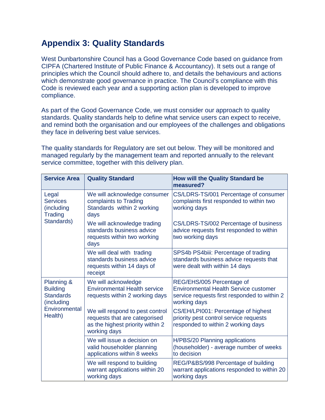## **Appendix 3: Quality Standards**

West Dunbartonshire Council has a Good Governance Code based on guidance from CIPFA (Chartered Institute of Public Finance & Accountancy). It sets out a range of principles which the Council should adhere to, and details the behaviours and actions which demonstrate good governance in practice. The Council's compliance with this Code is reviewed each year and a supporting action plan is developed to improve compliance.

As part of the Good Governance Code, we must consider our approach to quality standards. Quality standards help to define what service users can expect to receive, and remind both the organisation and our employees of the challenges and obligations they face in delivering best value services.

The quality standards for Regulatory are set out below. They will be monitored and managed regularly by the management team and reported annually to the relevant service committee, together with this delivery plan.

| <b>Service Area</b>                                                                         | <b>Quality Standard</b>                                                                                              | <b>How will the Quality Standard be</b><br>measured?                                                                                      |
|---------------------------------------------------------------------------------------------|----------------------------------------------------------------------------------------------------------------------|-------------------------------------------------------------------------------------------------------------------------------------------|
| Legal<br><b>Services</b><br>(including<br><b>Trading</b>                                    | We will acknowledge consumer<br>complaints to Trading<br>Standards within 2 working<br>days                          | CS/LDRS-TS/001 Percentage of consumer<br>complaints first responded to within two<br>working days                                         |
| Standards)                                                                                  | We will acknowledge trading<br>standards business advice<br>requests within two working<br>days                      | CS/LDRS-TS/002 Percentage of business<br>advice requests first responded to within<br>two working days                                    |
|                                                                                             | We will deal with trading<br>standards business advice<br>requests within 14 days of<br>receipt                      | SPS4b PS4biii: Percentage of trading<br>standards business advice requests that<br>were dealt with within 14 days                         |
| Planning &<br><b>Building</b><br><b>Standards</b><br>(including<br>Environmental<br>Health) | We will acknowledge<br><b>Environmental Health service</b><br>requests within 2 working days                         | REG/EHS/005 Percentage of<br><b>Environmental Health Service customer</b><br>service requests first responded to within 2<br>working days |
|                                                                                             | We will respond to pest control<br>requests that are categorised<br>as the highest priority within 2<br>working days | CS/EH/LPI001: Percentage of highest<br>priority pest control service requests<br>responded to within 2 working days                       |
|                                                                                             | We will issue a decision on<br>valid householder planning<br>applications within 8 weeks                             | H/PBS/20 Planning applications<br>(householder) - average number of weeks<br>to decision                                                  |
|                                                                                             | We will respond to building<br>warrant applications within 20<br>working days                                        | REG/P&BS/998 Percentage of building<br>warrant applications responded to within 20<br>working days                                        |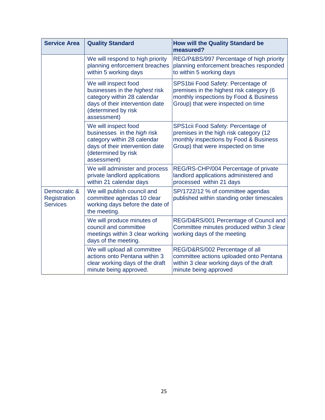| <b>Service Area</b>                             | <b>Quality Standard</b>                                                                                                                                        | <b>How will the Quality Standard be</b><br>measured?                                                                                                           |
|-------------------------------------------------|----------------------------------------------------------------------------------------------------------------------------------------------------------------|----------------------------------------------------------------------------------------------------------------------------------------------------------------|
|                                                 | We will respond to high priority<br>planning enforcement breaches<br>within 5 working days                                                                     | REG/P&BS/997 Percentage of high priority<br>planning enforcement breaches responded<br>to within 5 working days                                                |
|                                                 | We will inspect food<br>businesses in the highest risk<br>category within 28 calendar<br>days of their intervention date<br>(determined by risk<br>assessment) | SPS1bii Food Safety: Percentage of<br>premises in the highest risk category (6<br>monthly inspections by Food & Business<br>Group) that were inspected on time |
|                                                 | We will inspect food<br>businesses in the high risk<br>category within 28 calendar<br>days of their intervention date<br>(determined by risk<br>assessment)    | SPS1cii Food Safety: Percentage of<br>premises in the high risk category (12<br>monthly inspections by Food & Business<br>Group) that were inspected on time   |
|                                                 | We will administer and process<br>private landlord applications<br>within 21 calendar days                                                                     | REG/RS-CHP/004 Percentage of private<br>landlord applications administered and<br>processed within 21 days                                                     |
| Democratic &<br>Registration<br><b>Services</b> | We will publish council and<br>committee agendas 10 clear<br>working days before the date of<br>the meeting.                                                   | SP/1722/12 % of committee agendas<br>published within standing order timescales                                                                                |
|                                                 | We will produce minutes of<br>council and committee<br>meetings within 3 clear working<br>days of the meeting.                                                 | REG/D&RS/001 Percentage of Council and<br>Committee minutes produced within 3 clear<br>working days of the meeting                                             |
|                                                 | We will upload all committee<br>actions onto Pentana within 3<br>clear working days of the draft<br>minute being approved.                                     | REG/D&RS/002 Percentage of all<br>committee actions uploaded onto Pentana<br>within 3 clear working days of the draft<br>minute being approved                 |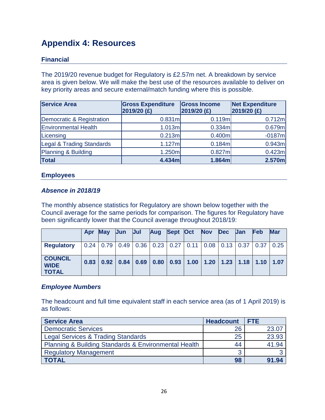## **Appendix 4: Resources**

## **Financial**

The 2019/20 revenue budget for Regulatory is £2.57m net. A breakdown by service area is given below. We will make the best use of the resources available to deliver on key priority areas and secure external/match funding where this is possible.

| <b>Service Area</b>         | <b>Gross Expenditure</b><br>2019/20 (£) | <b>Gross Income</b><br>2019/20 (£) | <b>Net Expenditure</b><br>$2019/20$ (£) |
|-----------------------------|-----------------------------------------|------------------------------------|-----------------------------------------|
| Democratic & Registration   | 0.831ml                                 | 0.119m                             | 0.712m                                  |
| <b>Environmental Health</b> | 1.013m                                  | 0.334m                             | 0.679m                                  |
| Licensing                   | 0.213ml                                 | 0.400m                             | $-0187m$                                |
| Legal & Trading Standards   | 1.127ml                                 | 0.184m                             | 0.943m                                  |
| Planning & Building         | 1.250m                                  | 0.827m                             | 0.423m                                  |
| <b>Total</b>                | 4.434m                                  | 1.864m                             | 2.570m                                  |

#### **Employees**

#### *Absence in 2018/19*

The monthly absence statistics for Regulatory are shown below together with the Council average for the same periods for comparison. The figures for Regulatory have been significantly lower that the Council average throughout 2018/19:

|                                               | Apr  | <b>May</b> | Jun | <b>Jul</b> | Aug | Sept Oct | Nov Dec | <b>Jan</b>                                                                          | <b>Feb</b> | <b>Mar</b> |
|-----------------------------------------------|------|------------|-----|------------|-----|----------|---------|-------------------------------------------------------------------------------------|------------|------------|
| <b>Regulatory</b>                             |      |            |     |            |     |          |         | $0.24$   0.79   0.49   0.36   0.23   0.27   0.11   0.08   0.13   0.37   0.37   0.25 |            |            |
| <b>COUNCIL</b><br><b>WIDE</b><br><b>TOTAL</b> | 0.83 |            |     |            |     |          |         | $0.92$   0.84   0.69   0.80   0.93   1.00   1.20   1.23   1.18   1.10   1.07        |            |            |

#### *Employee Numbers*

The headcount and full time equivalent staff in each service area (as of 1 April 2019) is as follows:

| <b>Service Area</b>                                  | <b>Headcount</b> | <b>FTE</b> |
|------------------------------------------------------|------------------|------------|
| <b>Democratic Services</b>                           | 26               | 23.07      |
| <b>Legal Services &amp; Trading Standards</b>        | 25               | 23.93      |
| Planning & Building Standards & Environmental Health | 44               | 41.94      |
| <b>Regulatory Management</b>                         | ◠<br>w           |            |
| <b>TOTAL</b>                                         | 98               | 91.94      |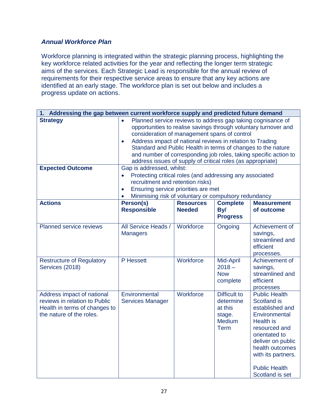### *Annual Workforce Plan*

Workforce planning is integrated within the strategic planning process, highlighting the key workforce related activities for the year and reflecting the longer term strategic aims of the services. Each Strategic Lead is responsible for the annual review of requirements for their respective service areas to ensure that any key actions are identified at an early stage. The workforce plan is set out below and includes a progress update on actions.

| 1. Addressing the gap between current workforce supply and predicted future demand                                       |                                                                                                                                                                                                                                                                                                                                                                                                                                                             |                                                                                                                                                                                                                           |                                                                                |                                                                                                                                                                                                                                 |  |  |
|--------------------------------------------------------------------------------------------------------------------------|-------------------------------------------------------------------------------------------------------------------------------------------------------------------------------------------------------------------------------------------------------------------------------------------------------------------------------------------------------------------------------------------------------------------------------------------------------------|---------------------------------------------------------------------------------------------------------------------------------------------------------------------------------------------------------------------------|--------------------------------------------------------------------------------|---------------------------------------------------------------------------------------------------------------------------------------------------------------------------------------------------------------------------------|--|--|
| <b>Strategy</b>                                                                                                          | Planned service reviews to address gap taking cognisance of<br>opportunities to realise savings through voluntary turnover and<br>consideration of management spans of control<br>Address impact of national reviews in relation to Trading<br>$\bullet$<br>Standard and Public Health in terms of changes to the nature<br>and number of corresponding job roles, taking specific action to<br>address issues of supply of critical roles (as appropriate) |                                                                                                                                                                                                                           |                                                                                |                                                                                                                                                                                                                                 |  |  |
| <b>Expected Outcome</b><br><b>Actions</b>                                                                                | $\bullet$<br>$\bullet$<br>$\bullet$                                                                                                                                                                                                                                                                                                                                                                                                                         | Gap is addressed, whilst:<br>Protecting critical roles (and addressing any associated<br>recruitment and retention risks)<br>Ensuring service priorities are met<br>Minimising risk of voluntary or compulsory redundancy |                                                                                |                                                                                                                                                                                                                                 |  |  |
|                                                                                                                          | Person(s)<br><b>Responsible</b>                                                                                                                                                                                                                                                                                                                                                                                                                             | <b>Resources</b><br><b>Needed</b>                                                                                                                                                                                         | <b>Complete</b><br>By/<br><b>Progress</b>                                      | <b>Measurement</b><br>of outcome                                                                                                                                                                                                |  |  |
| Planned service reviews                                                                                                  | All Service Heads /<br><b>Managers</b>                                                                                                                                                                                                                                                                                                                                                                                                                      | Workforce                                                                                                                                                                                                                 | Ongoing                                                                        | Achievement of<br>savings,<br>streamlined and<br>efficient<br>processes.                                                                                                                                                        |  |  |
| <b>Restructure of Regulatory</b><br>Services (2018)                                                                      | P Hessett                                                                                                                                                                                                                                                                                                                                                                                                                                                   | Workforce                                                                                                                                                                                                                 | Mid-April<br>$2018 -$<br><b>Now</b><br>complete                                | Achievement of<br>savings,<br>streamlined and<br>efficient<br>processes                                                                                                                                                         |  |  |
| Address impact of national<br>reviews in relation to Public<br>Health in terms of changes to<br>the nature of the roles. | Environmental<br><b>Services Manager</b>                                                                                                                                                                                                                                                                                                                                                                                                                    | Workforce                                                                                                                                                                                                                 | <b>Difficult to</b><br>determine<br>at this<br>stage.<br>Medium<br><b>Term</b> | <b>Public Health</b><br>Scotland is<br>established and<br>Environmental<br>Health is<br>resourced and<br>orientated to<br>deliver on public<br>health outcomes<br>with its partners.<br><b>Public Health</b><br>Scotland is set |  |  |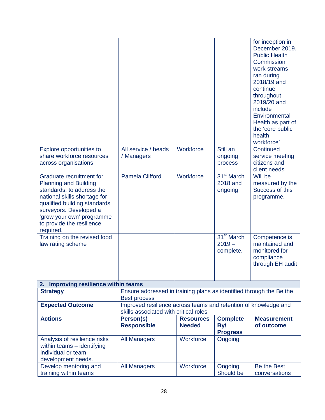|                                                                                                                                                                                                                                                        |                                                                                                          |                                   |                                                 | for inception in<br>December 2019.<br><b>Public Health</b><br>Commission<br>work streams<br>ran during<br>2018/19 and<br>continue<br>throughout<br>2019/20 and<br>include<br>Environmental<br>Health as part of<br>the 'core public<br>health<br>workforce' |
|--------------------------------------------------------------------------------------------------------------------------------------------------------------------------------------------------------------------------------------------------------|----------------------------------------------------------------------------------------------------------|-----------------------------------|-------------------------------------------------|-------------------------------------------------------------------------------------------------------------------------------------------------------------------------------------------------------------------------------------------------------------|
| Explore opportunities to<br>share workforce resources<br>across organisations                                                                                                                                                                          | All service / heads<br>/ Managers                                                                        | Workforce                         | Still an<br>ongoing<br>process                  | Continued<br>service meeting<br>citizens and<br>client needs                                                                                                                                                                                                |
| Graduate recruitment for<br><b>Planning and Building</b><br>standards, to address the<br>national skills shortage for<br>qualified building standards<br>surveyors. Developed a<br>'grow your own' programme<br>to provide the resilience<br>required. | <b>Pamela Clifford</b>                                                                                   | Workforce                         | 31 <sup>st</sup> March<br>2018 and<br>ongoing   | Will be<br>measured by the<br>Success of this<br>programme.                                                                                                                                                                                                 |
| Training on the revised food<br>law rating scheme                                                                                                                                                                                                      |                                                                                                          |                                   | 31 <sup>st</sup> March<br>$2019 -$<br>complete. | Competence is<br>maintained and<br>monitored for<br>compliance<br>through EH audit                                                                                                                                                                          |
| 2. Improving resilience within teams                                                                                                                                                                                                                   |                                                                                                          |                                   |                                                 |                                                                                                                                                                                                                                                             |
| <b>Strategy</b>                                                                                                                                                                                                                                        | Ensure addressed in training plans as identified through the Be the<br><b>Best process</b>               |                                   |                                                 |                                                                                                                                                                                                                                                             |
| <b>Expected Outcome</b>                                                                                                                                                                                                                                | Improved resilience across teams and retention of knowledge and<br>skills associated with critical roles |                                   |                                                 |                                                                                                                                                                                                                                                             |
| <b>Actions</b>                                                                                                                                                                                                                                         | Person(s)<br><b>Responsible</b>                                                                          | <b>Resources</b><br><b>Needed</b> | <b>Complete</b><br>By/<br><b>Progress</b>       | <b>Measurement</b><br>of outcome                                                                                                                                                                                                                            |
| Analysis of resilience risks<br>within teams - identifying<br>individual or team<br>development needs.                                                                                                                                                 | <b>All Managers</b>                                                                                      | Workforce                         | Ongoing                                         |                                                                                                                                                                                                                                                             |
| Develop mentoring and<br>training within teams                                                                                                                                                                                                         | <b>All Managers</b>                                                                                      | Workforce                         | Ongoing<br>Should be                            | Be the Best<br>conversations                                                                                                                                                                                                                                |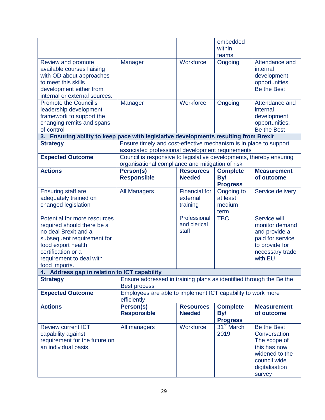|                                                                                      |                                                                                                                         |                      | embedded               |                            |
|--------------------------------------------------------------------------------------|-------------------------------------------------------------------------------------------------------------------------|----------------------|------------------------|----------------------------|
|                                                                                      |                                                                                                                         |                      | within                 |                            |
|                                                                                      |                                                                                                                         |                      | teams.                 |                            |
| Review and promote<br>available courses liaising                                     | Manager                                                                                                                 | Workforce            | Ongoing                | Attendance and<br>internal |
| with OD about approaches                                                             |                                                                                                                         |                      |                        | development                |
| to meet this skills                                                                  |                                                                                                                         |                      |                        | opportunities.             |
| development either from                                                              |                                                                                                                         |                      |                        | Be the Best                |
| internal or external sources.                                                        |                                                                                                                         |                      |                        |                            |
| <b>Promote the Council's</b><br>leadership development                               | Manager                                                                                                                 | Workforce            | Ongoing                | Attendance and<br>internal |
| framework to support the                                                             |                                                                                                                         |                      |                        | development                |
| changing remits and spans                                                            |                                                                                                                         |                      |                        | opportunities.             |
| of control                                                                           |                                                                                                                         |                      |                        | <b>Be the Best</b>         |
| 3. Ensuring ability to keep pace with legislative developments resulting from Brexit |                                                                                                                         |                      |                        |                            |
| <b>Strategy</b>                                                                      | Ensure timely and cost-effective mechanism is in place to support                                                       |                      |                        |                            |
|                                                                                      | associated professional development requirements                                                                        |                      |                        |                            |
| <b>Expected Outcome</b>                                                              | Council is responsive to legislative developments, thereby ensuring<br>organisational compliance and mitigation of risk |                      |                        |                            |
| <b>Actions</b>                                                                       | Person(s)                                                                                                               | <b>Resources</b>     | <b>Complete</b>        | <b>Measurement</b>         |
|                                                                                      | <b>Responsible</b>                                                                                                      | <b>Needed</b>        | By/                    | of outcome                 |
|                                                                                      |                                                                                                                         |                      | <b>Progress</b>        |                            |
| <b>Ensuring staff are</b>                                                            | <b>All Managers</b>                                                                                                     | <b>Financial for</b> | Ongoing to             | Service delivery           |
| adequately trained on                                                                |                                                                                                                         | external             | at least               |                            |
| changed legislation                                                                  |                                                                                                                         | training             | medium                 |                            |
|                                                                                      |                                                                                                                         |                      | term                   |                            |
| Potential for more resources                                                         |                                                                                                                         | Professional         | <b>TBC</b>             | Service will               |
| required should there be a                                                           |                                                                                                                         | and clerical         |                        | monitor demand             |
| no deal Brexit and a                                                                 |                                                                                                                         | staff                |                        | and provide a              |
| subsequent requirement for                                                           |                                                                                                                         |                      |                        | paid for service           |
| food export health                                                                   |                                                                                                                         |                      |                        | to provide for             |
| certification or a                                                                   |                                                                                                                         |                      |                        | necessary trade            |
| requirement to deal with                                                             |                                                                                                                         |                      |                        | with EU                    |
| food imports.                                                                        |                                                                                                                         |                      |                        |                            |
| 4. Address gap in relation to ICT capability                                         |                                                                                                                         |                      |                        |                            |
| <b>Strategy</b>                                                                      | Ensure addressed in training plans as identified through the Be the                                                     |                      |                        |                            |
|                                                                                      | <b>Best process</b>                                                                                                     |                      |                        |                            |
| <b>Expected Outcome</b>                                                              | Employees are able to implement ICT capability to work more                                                             |                      |                        |                            |
|                                                                                      | efficiently                                                                                                             |                      |                        |                            |
| <b>Actions</b>                                                                       | Person(s)                                                                                                               | <b>Resources</b>     | <b>Complete</b>        | <b>Measurement</b>         |
|                                                                                      | <b>Responsible</b>                                                                                                      | <b>Needed</b>        | By/                    | of outcome                 |
|                                                                                      |                                                                                                                         |                      | <b>Progress</b>        |                            |
| <b>Review current ICT</b>                                                            | All managers                                                                                                            | Workforce            | 31 <sup>st</sup> March | Be the Best                |
| capability against                                                                   |                                                                                                                         |                      | 2019                   | Conversation.              |
| requirement for the future on                                                        |                                                                                                                         |                      |                        | The scope of               |
| an individual basis.                                                                 |                                                                                                                         |                      |                        | this has now               |
|                                                                                      |                                                                                                                         |                      |                        | widened to the             |
|                                                                                      |                                                                                                                         |                      |                        | council wide               |
|                                                                                      |                                                                                                                         |                      |                        | digitalisation             |
|                                                                                      |                                                                                                                         |                      |                        | survey                     |